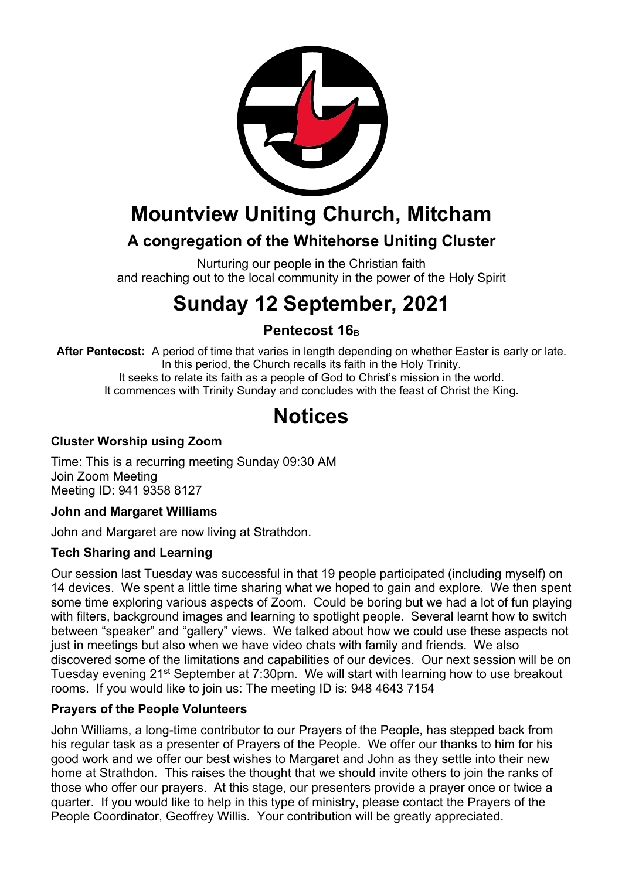

## **Mountview Uniting Church, Mitcham**

### **A congregation of the Whitehorse Uniting Cluster**

Nurturing our people in the Christian faith and reaching out to the local community in the power of the Holy Spirit

# **Sunday 12 September, 2021**

### **Pentecost 16**<sub>B</sub>

**After Pentecost:** A period of time that varies in length depending on whether Easter is early or late. In this period, the Church recalls its faith in the Holy Trinity. It seeks to relate its faith as a people of God to Christ's mission in the world. It commences with Trinity Sunday and concludes with the feast of Christ the King.

## **Notices**

#### **Cluster Worship using Zoom**

Time: This is a recurring meeting Sunday 09:30 AM Join Zoom Meeting Meeting ID: 941 9358 8127

#### **John and Margaret Williams**

John and Margaret are now living at Strathdon.

#### **Tech Sharing and Learning**

Our session last Tuesday was successful in that 19 people participated (including myself) on 14 devices. We spent a little time sharing what we hoped to gain and explore. We then spent some time exploring various aspects of Zoom. Could be boring but we had a lot of fun playing with filters, background images and learning to spotlight people. Several learnt how to switch between "speaker" and "gallery" views. We talked about how we could use these aspects not just in meetings but also when we have video chats with family and friends. We also discovered some of the limitations and capabilities of our devices. Our next session will be on Tuesday evening 21st September at 7:30pm. We will start with learning how to use breakout rooms. If you would like to join us: The meeting ID is: 948 4643 7154

#### **Prayers of the People Volunteers**

John Williams, a long-time contributor to our Prayers of the People, has stepped back from his regular task as a presenter of Prayers of the People. We offer our thanks to him for his good work and we offer our best wishes to Margaret and John as they settle into their new home at Strathdon. This raises the thought that we should invite others to join the ranks of those who offer our prayers. At this stage, our presenters provide a prayer once or twice a quarter. If you would like to help in this type of ministry, please contact the Prayers of the People Coordinator, Geoffrey Willis. Your contribution will be greatly appreciated.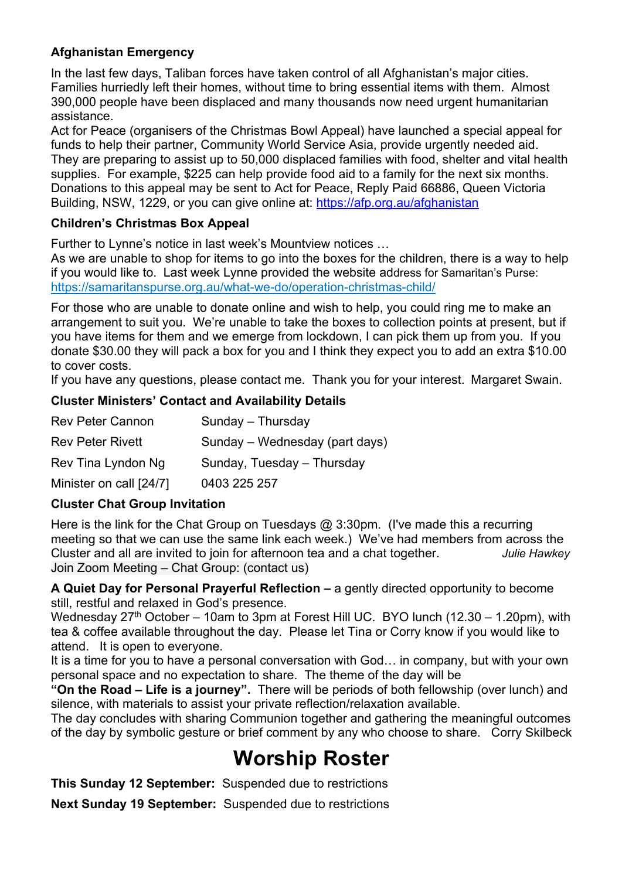#### **Afghanistan Emergency**

In the last few days, Taliban forces have taken control of all Afghanistan's major cities. Families hurriedly left their homes, without time to bring essential items with them. Almost 390,000 people have been displaced and many thousands now need urgent humanitarian assistance.

Act for Peace (organisers of the Christmas Bowl Appeal) have launched a special appeal for funds to help their partner, Community World Service Asia, provide urgently needed aid. They are preparing to assist up to 50,000 displaced families with food, shelter and vital health supplies. For example, \$225 can help provide food aid to a family for the next six months. Donations to this appeal may be sent to Act for Peace, Reply Paid 66886, Queen Victoria Building, NSW, 1229, or you can give online at: https://afp.org.au/afghanistan

#### **Children's Christmas Box Appeal**

Further to Lynne's notice in last week's Mountview notices …

As we are unable to shop for items to go into the boxes for the children, there is a way to help if you would like to. Last week Lynne provided the website address for Samaritan's Purse: https://samaritanspurse.org.au/what-we-do/operation-christmas-child/

For those who are unable to donate online and wish to help, you could ring me to make an arrangement to suit you. We're unable to take the boxes to collection points at present, but if you have items for them and we emerge from lockdown, I can pick them up from you. If you donate \$30.00 they will pack a box for you and I think they expect you to add an extra \$10.00 to cover costs.

If you have any questions, please contact me. Thank you for your interest. Margaret Swain.

#### **Cluster Ministers' Contact and Availability Details**

| <b>Rev Peter Cannon</b> | Sunday - Thursday              |
|-------------------------|--------------------------------|
| <b>Rev Peter Rivett</b> | Sunday – Wednesday (part days) |
| Rev Tina Lyndon Ng      | Sunday, Tuesday - Thursday     |
| Minister on call [24/7] | 0403 225 257                   |

#### **Cluster Chat Group Invitation**

Here is the link for the Chat Group on Tuesdays  $@3:30$ pm. (I've made this a recurring meeting so that we can use the same link each week.) We've had members from across the Cluster and all are invited to join for afternoon tea and a chat together. *Julie Hawkey* Join Zoom Meeting – Chat Group: (contact us)

**A Quiet Day for Personal Prayerful Reflection –** a gently directed opportunity to become still, restful and relaxed in God's presence.

Wednesday  $27<sup>th</sup>$  October – 10am to 3pm at Forest Hill UC. BYO lunch (12.30 – 1.20pm), with tea & coffee available throughout the day. Please let Tina or Corry know if you would like to attend. It is open to everyone.

It is a time for you to have a personal conversation with God… in company, but with your own personal space and no expectation to share. The theme of the day will be

**"On the Road – Life is a journey".** There will be periods of both fellowship (over lunch) and silence, with materials to assist your private reflection/relaxation available.

The day concludes with sharing Communion together and gathering the meaningful outcomes of the day by symbolic gesture or brief comment by any who choose to share. Corry Skilbeck

## **Worship Roster**

**This Sunday 12 September:** Suspended due to restrictions

**Next Sunday 19 September:** Suspended due to restrictions